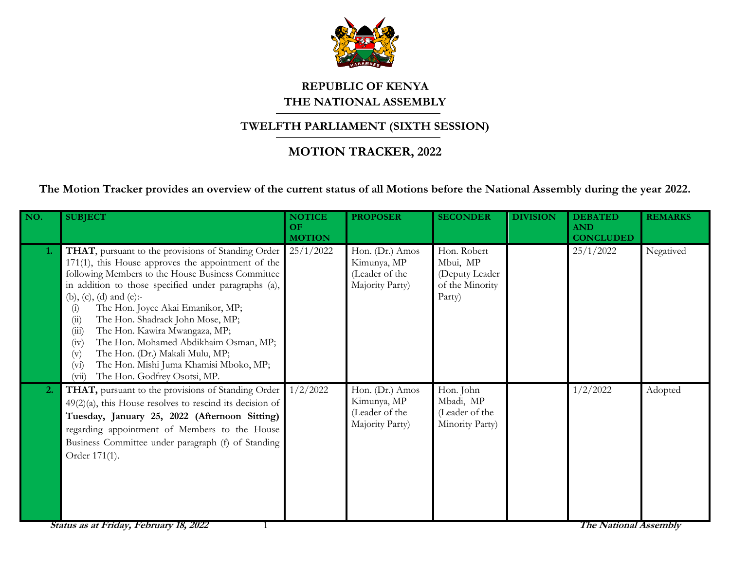

## **REPUBLIC OF KENYA THE NATIONAL ASSEMBLY**

## **TWELFTH PARLIAMENT (SIXTH SESSION)**

## **MOTION TRACKER, 2022**

**The Motion Tracker provides an overview of the current status of all Motions before the National Assembly during the year 2022.**

| NO.              | <b>SUBJECT</b>                                                                                                                                                                                                                                                                                                                                                                                                                                                                                                                                                             | <b>NOTICE</b><br>OF<br><b>MOTION</b> | <b>PROPOSER</b>                                                     | <b>SECONDER</b>                                                        | <b>DIVISION</b> | <b>DEBATED</b><br><b>AND</b><br><b>CONCLUDED</b> | <b>REMARKS</b> |
|------------------|----------------------------------------------------------------------------------------------------------------------------------------------------------------------------------------------------------------------------------------------------------------------------------------------------------------------------------------------------------------------------------------------------------------------------------------------------------------------------------------------------------------------------------------------------------------------------|--------------------------------------|---------------------------------------------------------------------|------------------------------------------------------------------------|-----------------|--------------------------------------------------|----------------|
| 1.               | THAT, pursuant to the provisions of Standing Order<br>171(1), this House approves the appointment of the<br>following Members to the House Business Committee<br>in addition to those specified under paragraphs (a),<br>(b), (c), (d) and (e):-<br>The Hon. Joyce Akai Emanikor, MP;<br>(i)<br>The Hon. Shadrack John Mose, MP;<br>(i)<br>The Hon. Kawira Mwangaza, MP;<br>(iii)<br>The Hon. Mohamed Abdikhaim Osman, MP;<br>(iv)<br>The Hon. (Dr.) Makali Mulu, MP;<br>(v)<br>The Hon. Mishi Juma Khamisi Mboko, MP;<br>$(v_i)$<br>The Hon. Godfrey Osotsi, MP.<br>(vii) | 25/1/2022                            | Hon. (Dr.) Amos<br>Kimunya, MP<br>(Leader of the<br>Majority Party) | Hon. Robert<br>Mbui, MP<br>(Deputy Leader<br>of the Minority<br>Party) |                 | 25/1/2022                                        | Negatived      |
| $\overline{2}$ . | THAT, pursuant to the provisions of Standing Order<br>$49(2)(a)$ , this House resolves to rescind its decision of<br>Tuesday, January 25, 2022 (Afternoon Sitting)<br>regarding appointment of Members to the House<br>Business Committee under paragraph (f) of Standing<br>Order 171(1).                                                                                                                                                                                                                                                                                 | 1/2/2022                             | Hon. (Dr.) Amos<br>Kimunya, MP<br>(Leader of the<br>Majority Party) | Hon. John<br>Mbadi, MP<br>(Leader of the<br>Minority Party)            |                 | 1/2/2022                                         | Adopted        |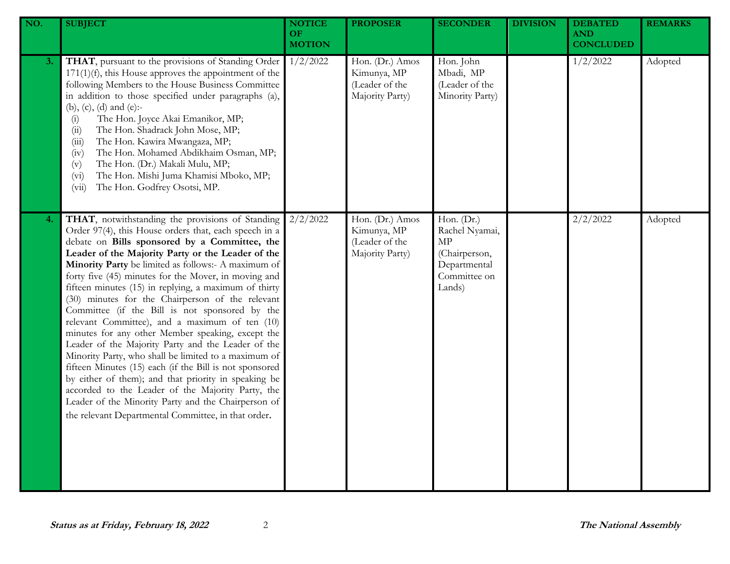| NO. | <b>SUBJECT</b>                                                                                                                                                                                                                                                                                                                                                                                                                                                                                                                                                                                                                                                                                                                                                                                                                                                                                                                                                                                           | <b>NOTICE</b><br><b>OF</b><br><b>MOTION</b> | <b>PROPOSER</b>                                                     | <b>SECONDER</b>                                                                               | <b>DIVISION</b> | <b>DEBATED</b><br><b>AND</b><br><b>CONCLUDED</b> | <b>REMARKS</b> |
|-----|----------------------------------------------------------------------------------------------------------------------------------------------------------------------------------------------------------------------------------------------------------------------------------------------------------------------------------------------------------------------------------------------------------------------------------------------------------------------------------------------------------------------------------------------------------------------------------------------------------------------------------------------------------------------------------------------------------------------------------------------------------------------------------------------------------------------------------------------------------------------------------------------------------------------------------------------------------------------------------------------------------|---------------------------------------------|---------------------------------------------------------------------|-----------------------------------------------------------------------------------------------|-----------------|--------------------------------------------------|----------------|
| 3.  | THAT, pursuant to the provisions of Standing Order<br>$171(1)(f)$ , this House approves the appointment of the<br>following Members to the House Business Committee<br>in addition to those specified under paragraphs (a),<br>(b), (c), (d) and (e):-<br>The Hon. Joyce Akai Emanikor, MP;<br>(i)<br>The Hon. Shadrack John Mose, MP;<br>(ii)<br>The Hon. Kawira Mwangaza, MP;<br>(iii)<br>The Hon. Mohamed Abdikhaim Osman, MP;<br>(iv)<br>The Hon. (Dr.) Makali Mulu, MP;<br>(v)<br>The Hon. Mishi Juma Khamisi Mboko, MP;<br>$(v_i)$<br>The Hon. Godfrey Osotsi, MP.<br>(vii)                                                                                                                                                                                                                                                                                                                                                                                                                        | 1/2/2022                                    | Hon. (Dr.) Amos<br>Kimunya, MP<br>(Leader of the<br>Majority Party) | Hon. John<br>Mbadi, MP<br>(Leader of the<br>Minority Party)                                   |                 | 1/2/2022                                         | Adopted        |
| 4.  | THAT, notwithstanding the provisions of Standing<br>Order 97(4), this House orders that, each speech in a<br>debate on Bills sponsored by a Committee, the<br>Leader of the Majority Party or the Leader of the<br>Minority Party be limited as follows:- A maximum of<br>forty five (45) minutes for the Mover, in moving and<br>fifteen minutes (15) in replying, a maximum of thirty<br>(30) minutes for the Chairperson of the relevant<br>Committee (if the Bill is not sponsored by the<br>relevant Committee), and a maximum of ten (10)<br>minutes for any other Member speaking, except the<br>Leader of the Majority Party and the Leader of the<br>Minority Party, who shall be limited to a maximum of<br>fifteen Minutes (15) each (if the Bill is not sponsored<br>by either of them); and that priority in speaking be<br>accorded to the Leader of the Majority Party, the<br>Leader of the Minority Party and the Chairperson of<br>the relevant Departmental Committee, in that order. | 2/2/2022                                    | Hon. (Dr.) Amos<br>Kimunya, MP<br>(Leader of the<br>Majority Party) | Hon. (Dr.)<br>Rachel Nyamai,<br>MP<br>(Chairperson,<br>Departmental<br>Committee on<br>Lands) |                 | 2/2/2022                                         | Adopted        |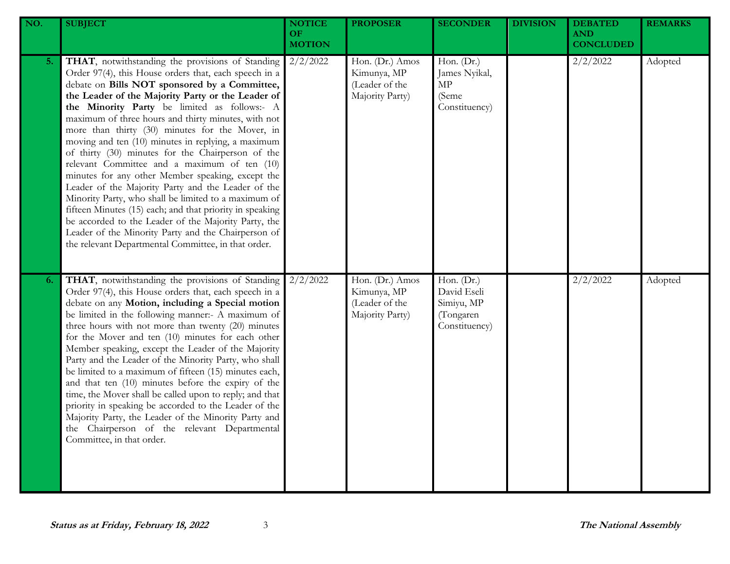| NO. | <b>SUBJECT</b>                                                                                                                                                                                                                                                                                                                                                                                                                                                                                                                                                                                                                                                                                                                                                                                                                                                                                                                            | <b>NOTICE</b><br><b>OF</b><br><b>MOTION</b> | <b>PROPOSER</b>                                                     | <b>SECONDER</b>                                                         | <b>DIVISION</b> | <b>DEBATED</b><br><b>AND</b><br><b>CONCLUDED</b> | <b>REMARKS</b> |
|-----|-------------------------------------------------------------------------------------------------------------------------------------------------------------------------------------------------------------------------------------------------------------------------------------------------------------------------------------------------------------------------------------------------------------------------------------------------------------------------------------------------------------------------------------------------------------------------------------------------------------------------------------------------------------------------------------------------------------------------------------------------------------------------------------------------------------------------------------------------------------------------------------------------------------------------------------------|---------------------------------------------|---------------------------------------------------------------------|-------------------------------------------------------------------------|-----------------|--------------------------------------------------|----------------|
| 5.  | THAT, notwithstanding the provisions of Standing<br>Order 97(4), this House orders that, each speech in a<br>debate on Bills NOT sponsored by a Committee,<br>the Leader of the Majority Party or the Leader of<br>the Minority Party be limited as follows:- A<br>maximum of three hours and thirty minutes, with not<br>more than thirty (30) minutes for the Mover, in<br>moving and ten (10) minutes in replying, a maximum<br>of thirty (30) minutes for the Chairperson of the<br>relevant Committee and a maximum of ten (10)<br>minutes for any other Member speaking, except the<br>Leader of the Majority Party and the Leader of the<br>Minority Party, who shall be limited to a maximum of<br>fifteen Minutes (15) each; and that priority in speaking<br>be accorded to the Leader of the Majority Party, the<br>Leader of the Minority Party and the Chairperson of<br>the relevant Departmental Committee, in that order. | 2/2/2022                                    | Hon. (Dr.) Amos<br>Kimunya, MP<br>(Leader of the<br>Majority Party) | Hon. (Dr.)<br>James Nyikal,<br>MP<br>(Seme<br>Constituency)             |                 | 2/2/2022                                         | Adopted        |
| 6.  | THAT, notwithstanding the provisions of Standing<br>Order 97(4), this House orders that, each speech in a<br>debate on any Motion, including a Special motion<br>be limited in the following manner:- A maximum of<br>three hours with not more than twenty (20) minutes<br>for the Mover and ten (10) minutes for each other<br>Member speaking, except the Leader of the Majority<br>Party and the Leader of the Minority Party, who shall<br>be limited to a maximum of fifteen (15) minutes each,<br>and that ten (10) minutes before the expiry of the<br>time, the Mover shall be called upon to reply; and that<br>priority in speaking be accorded to the Leader of the<br>Majority Party, the Leader of the Minority Party and<br>the Chairperson of the relevant Departmental<br>Committee, in that order.                                                                                                                      | 2/2/2022                                    | Hon. (Dr.) Amos<br>Kimunya, MP<br>(Leader of the<br>Majority Party) | Hon. $(Dr.)$<br>David Eseli<br>Simiyu, MP<br>(Tongaren<br>Constituency) |                 | 2/2/2022                                         | Adopted        |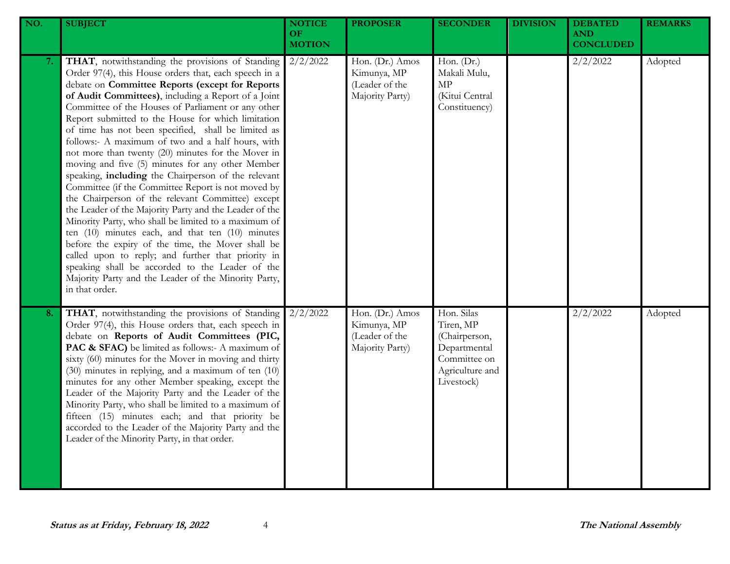| NO. | <b>SUBJECT</b>                                                                                                                                                                                                                                                                                                                                                                                                                                                                                                                                                                                                                                                                                                                                                                                                                                                                                                                                                                                                                                                                                                                            | <b>NOTICE</b><br>OF<br><b>MOTION</b> | <b>PROPOSER</b>                                                     | <b>SECONDER</b>                                                                                           | <b>DIVISION</b> | <b>DEBATED</b><br><b>AND</b><br><b>CONCLUDED</b> | <b>REMARKS</b> |
|-----|-------------------------------------------------------------------------------------------------------------------------------------------------------------------------------------------------------------------------------------------------------------------------------------------------------------------------------------------------------------------------------------------------------------------------------------------------------------------------------------------------------------------------------------------------------------------------------------------------------------------------------------------------------------------------------------------------------------------------------------------------------------------------------------------------------------------------------------------------------------------------------------------------------------------------------------------------------------------------------------------------------------------------------------------------------------------------------------------------------------------------------------------|--------------------------------------|---------------------------------------------------------------------|-----------------------------------------------------------------------------------------------------------|-----------------|--------------------------------------------------|----------------|
| 7.  | THAT, notwithstanding the provisions of Standing<br>Order 97(4), this House orders that, each speech in a<br>debate on Committee Reports (except for Reports<br>of Audit Committees), including a Report of a Joint<br>Committee of the Houses of Parliament or any other<br>Report submitted to the House for which limitation<br>of time has not been specified, shall be limited as<br>follows:- A maximum of two and a half hours, with<br>not more than twenty (20) minutes for the Mover in<br>moving and five (5) minutes for any other Member<br>speaking, including the Chairperson of the relevant<br>Committee (if the Committee Report is not moved by<br>the Chairperson of the relevant Committee) except<br>the Leader of the Majority Party and the Leader of the<br>Minority Party, who shall be limited to a maximum of<br>ten $(10)$ minutes each, and that ten $(10)$ minutes<br>before the expiry of the time, the Mover shall be<br>called upon to reply; and further that priority in<br>speaking shall be accorded to the Leader of the<br>Majority Party and the Leader of the Minority Party,<br>in that order. | $2/2/\overline{2022}$                | Hon. (Dr.) Amos<br>Kimunya, MP<br>(Leader of the<br>Majority Party) | Hon. (Dr.)<br>Makali Mulu,<br>$\ensuremath{\mathrm{MP}}$<br>(Kitui Central<br>Constituency)               |                 | 2/2/2022                                         | Adopted        |
| 8.  | THAT, notwithstanding the provisions of Standing<br>Order 97(4), this House orders that, each speech in<br>debate on Reports of Audit Committees (PIC,<br>PAC & SFAC) be limited as follows:- A maximum of<br>sixty (60) minutes for the Mover in moving and thirty<br>(30) minutes in replying, and a maximum of ten (10)<br>minutes for any other Member speaking, except the<br>Leader of the Majority Party and the Leader of the<br>Minority Party, who shall be limited to a maximum of<br>fifteen (15) minutes each; and that priority be<br>accorded to the Leader of the Majority Party and the<br>Leader of the Minority Party, in that order.                                                                                                                                                                                                                                                                                                                                                                                                                                                                                  | 2/2/2022                             | Hon. (Dr.) Amos<br>Kimunya, MP<br>(Leader of the<br>Majority Party) | Hon. Silas<br>Tiren, MP<br>(Chairperson,<br>Departmental<br>Committee on<br>Agriculture and<br>Livestock) |                 | 2/2/2022                                         | Adopted        |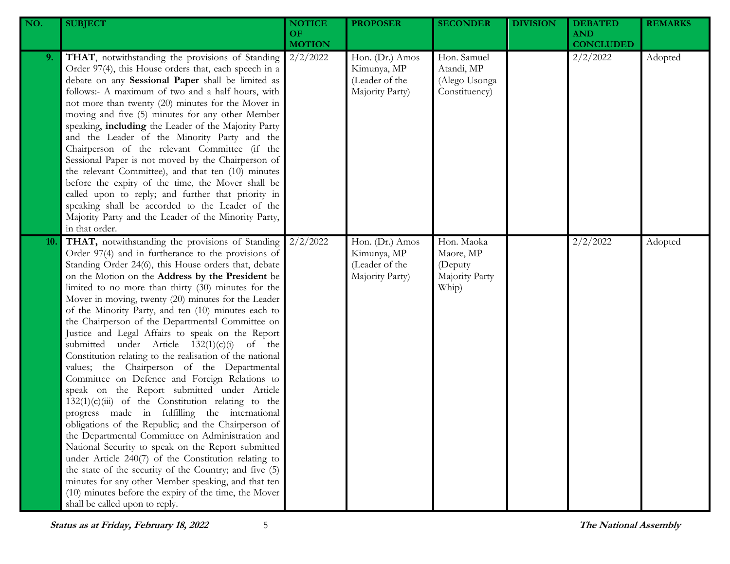| NO. | <b>SUBJECT</b>                                                                                                                                                                                                                                                                                                                                                                                                                                                                                                                                                                                                                                                                                                                                                                                                                                                                                                                                                                                                                                                                                                                                                                                                                                                                                                | <b>NOTICE</b><br><b>OF</b><br><b>MOTION</b> | <b>PROPOSER</b>                                                     | <b>SECONDER</b>                                               | <b>DIVISION</b> | <b>DEBATED</b><br><b>AND</b><br><b>CONCLUDED</b> | <b>REMARKS</b> |
|-----|---------------------------------------------------------------------------------------------------------------------------------------------------------------------------------------------------------------------------------------------------------------------------------------------------------------------------------------------------------------------------------------------------------------------------------------------------------------------------------------------------------------------------------------------------------------------------------------------------------------------------------------------------------------------------------------------------------------------------------------------------------------------------------------------------------------------------------------------------------------------------------------------------------------------------------------------------------------------------------------------------------------------------------------------------------------------------------------------------------------------------------------------------------------------------------------------------------------------------------------------------------------------------------------------------------------|---------------------------------------------|---------------------------------------------------------------------|---------------------------------------------------------------|-----------------|--------------------------------------------------|----------------|
| 9.  | THAT, notwithstanding the provisions of Standing<br>Order 97(4), this House orders that, each speech in a<br>debate on any Sessional Paper shall be limited as<br>follows:- A maximum of two and a half hours, with<br>not more than twenty (20) minutes for the Mover in<br>moving and five (5) minutes for any other Member<br>speaking, including the Leader of the Majority Party<br>and the Leader of the Minority Party and the<br>Chairperson of the relevant Committee (if the<br>Sessional Paper is not moved by the Chairperson of<br>the relevant Committee), and that ten (10) minutes<br>before the expiry of the time, the Mover shall be<br>called upon to reply; and further that priority in<br>speaking shall be accorded to the Leader of the<br>Majority Party and the Leader of the Minority Party,<br>in that order.                                                                                                                                                                                                                                                                                                                                                                                                                                                                    | 2/2/2022                                    | Hon. (Dr.) Amos<br>Kimunya, MP<br>(Leader of the<br>Majority Party) | Hon. Samuel<br>Atandi, MP<br>(Alego Usonga<br>Constituency)   |                 | 2/2/2022                                         | Adopted        |
| 10. | THAT, notwithstanding the provisions of Standing<br>Order 97(4) and in furtherance to the provisions of<br>Standing Order 24(6), this House orders that, debate<br>on the Motion on the Address by the President be<br>limited to no more than thirty (30) minutes for the<br>Mover in moving, twenty (20) minutes for the Leader<br>of the Minority Party, and ten (10) minutes each to<br>the Chairperson of the Departmental Committee on<br>Justice and Legal Affairs to speak on the Report<br>submitted under Article $132(1)(c)(i)$<br>of the<br>Constitution relating to the realisation of the national<br>values; the Chairperson of the Departmental<br>Committee on Defence and Foreign Relations to<br>speak on the Report submitted under Article<br>$132(1)(c)(iii)$ of the Constitution relating to the<br>progress made in fulfilling the international<br>obligations of the Republic; and the Chairperson of<br>the Departmental Committee on Administration and<br>National Security to speak on the Report submitted<br>under Article 240(7) of the Constitution relating to<br>the state of the security of the Country; and five (5)<br>minutes for any other Member speaking, and that ten<br>(10) minutes before the expiry of the time, the Mover<br>shall be called upon to reply. | 2/2/2022                                    | Hon. (Dr.) Amos<br>Kimunya, MP<br>(Leader of the<br>Majority Party) | Hon. Maoka<br>Maore, MP<br>(Deputy<br>Majority Party<br>Whip) |                 | 2/2/2022                                         | Adopted        |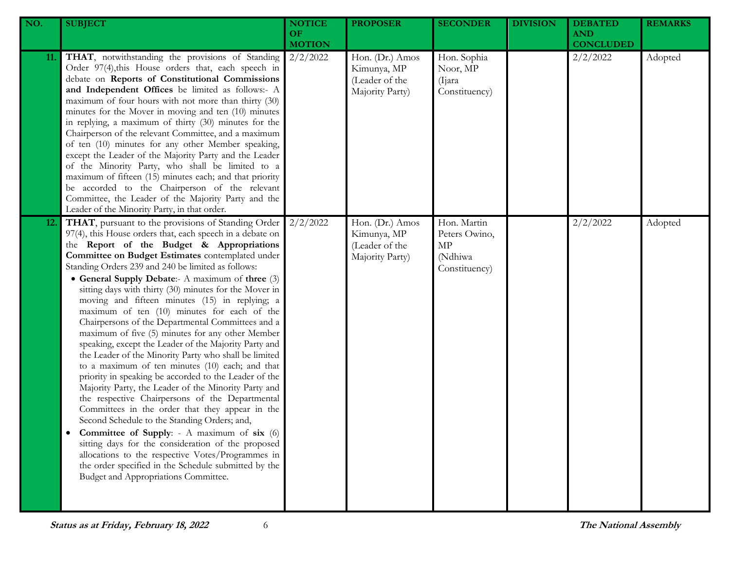| NO. | <b>SUBJECT</b>                                                                                                                                                                                                                                                                                                                                                                                                                                                                                                                                                                                                                                                                                                                                                                                                                                                                                                                                                                                                                                                                                                                                                                                                                                                                                              | <b>NOTICE</b><br>OF.<br><b>MOTION</b> | <b>PROPOSER</b>                                                     | <b>SECONDER</b>                                                | <b>DIVISION</b> | <b>DEBATED</b><br><b>AND</b><br><b>CONCLUDED</b> | <b>REMARKS</b> |
|-----|-------------------------------------------------------------------------------------------------------------------------------------------------------------------------------------------------------------------------------------------------------------------------------------------------------------------------------------------------------------------------------------------------------------------------------------------------------------------------------------------------------------------------------------------------------------------------------------------------------------------------------------------------------------------------------------------------------------------------------------------------------------------------------------------------------------------------------------------------------------------------------------------------------------------------------------------------------------------------------------------------------------------------------------------------------------------------------------------------------------------------------------------------------------------------------------------------------------------------------------------------------------------------------------------------------------|---------------------------------------|---------------------------------------------------------------------|----------------------------------------------------------------|-----------------|--------------------------------------------------|----------------|
| 11. | THAT, notwithstanding the provisions of Standing<br>Order 97(4), this House orders that, each speech in<br>debate on Reports of Constitutional Commissions<br>and Independent Offices be limited as follows:- A<br>maximum of four hours with not more than thirty (30)<br>minutes for the Mover in moving and ten (10) minutes<br>in replying, a maximum of thirty (30) minutes for the<br>Chairperson of the relevant Committee, and a maximum<br>of ten (10) minutes for any other Member speaking,<br>except the Leader of the Majority Party and the Leader<br>of the Minority Party, who shall be limited to a<br>maximum of fifteen (15) minutes each; and that priority<br>be accorded to the Chairperson of the relevant<br>Committee, the Leader of the Majority Party and the<br>Leader of the Minority Party, in that order.                                                                                                                                                                                                                                                                                                                                                                                                                                                                    | 2/2/2022                              | Hon. (Dr.) Amos<br>Kimunya, MP<br>(Leader of the<br>Majority Party) | Hon. Sophia<br>Noor, MP<br>(Ijara)<br>Constituency)            |                 | 2/2/2022                                         | Adopted        |
| 12. | THAT, pursuant to the provisions of Standing Order<br>97(4), this House orders that, each speech in a debate on<br>the Report of the Budget & Appropriations<br>Committee on Budget Estimates contemplated under<br>Standing Orders 239 and 240 be limited as follows:<br>• General Supply Debate:- A maximum of three (3)<br>sitting days with thirty (30) minutes for the Mover in<br>moving and fifteen minutes (15) in replying; a<br>maximum of ten (10) minutes for each of the<br>Chairpersons of the Departmental Committees and a<br>maximum of five (5) minutes for any other Member<br>speaking, except the Leader of the Majority Party and<br>the Leader of the Minority Party who shall be limited<br>to a maximum of ten minutes (10) each; and that<br>priority in speaking be accorded to the Leader of the<br>Majority Party, the Leader of the Minority Party and<br>the respective Chairpersons of the Departmental<br>Committees in the order that they appear in the<br>Second Schedule to the Standing Orders; and,<br><b>Committee of Supply:</b> - A maximum of six (6)<br>sitting days for the consideration of the proposed<br>allocations to the respective Votes/Programmes in<br>the order specified in the Schedule submitted by the<br>Budget and Appropriations Committee. | 2/2/2022                              | Hon. (Dr.) Amos<br>Kimunya, MP<br>(Leader of the<br>Majority Party) | Hon. Martin<br>Peters Owino,<br>MP<br>(Ndhiwa<br>Constituency) |                 | 2/2/2022                                         | Adopted        |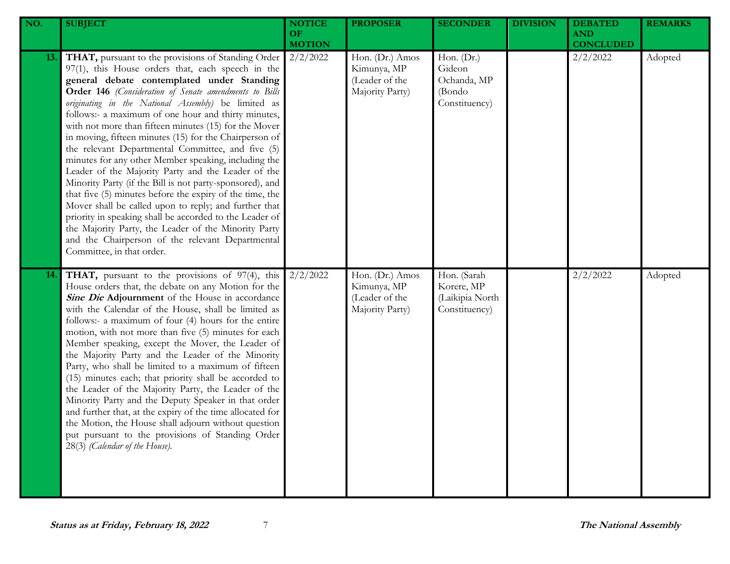| NO. | <b>SUBJECT</b>                                                                                                                                                                                                                                                                                                                                                                                                                                                                                                                                                                                                                                                                                                                                                                                                                                                                                                                                                                                           | <b>NOTICE</b><br><b>OF</b><br><b>MOTION</b> | <b>PROPOSER</b>                                                     | <b>SECONDER</b>                                                | <b>DIVISION</b> | <b>DEBATED</b><br><b>AND</b><br><b>CONCLUDED</b> | <b>REMARKS</b> |
|-----|----------------------------------------------------------------------------------------------------------------------------------------------------------------------------------------------------------------------------------------------------------------------------------------------------------------------------------------------------------------------------------------------------------------------------------------------------------------------------------------------------------------------------------------------------------------------------------------------------------------------------------------------------------------------------------------------------------------------------------------------------------------------------------------------------------------------------------------------------------------------------------------------------------------------------------------------------------------------------------------------------------|---------------------------------------------|---------------------------------------------------------------------|----------------------------------------------------------------|-----------------|--------------------------------------------------|----------------|
| 13. | THAT, pursuant to the provisions of Standing Order<br>97(1), this House orders that, each speech in the<br>general debate contemplated under Standing<br>Order 146 (Consideration of Senate amendments to Bills<br>originating in the National Assembly) be limited as<br>follows:- a maximum of one hour and thirty minutes,<br>with not more than fifteen minutes (15) for the Mover<br>in moving, fifteen minutes (15) for the Chairperson of<br>the relevant Departmental Committee, and five (5)<br>minutes for any other Member speaking, including the<br>Leader of the Majority Party and the Leader of the<br>Minority Party (if the Bill is not party-sponsored), and<br>that five (5) minutes before the expiry of the time, the<br>Mover shall be called upon to reply; and further that<br>priority in speaking shall be accorded to the Leader of<br>the Majority Party, the Leader of the Minority Party<br>and the Chairperson of the relevant Departmental<br>Committee, in that order. | 2/2/2022                                    | Hon. (Dr.) Amos<br>Kimunya, MP<br>(Leader of the<br>Majority Party) | Hon. (Dr.)<br>Gideon<br>Ochanda, MP<br>(Bondo<br>Constituency) |                 | 2/2/2022                                         | Adopted        |
| 14. | THAT, pursuant to the provisions of 97(4), this<br>House orders that, the debate on any Motion for the<br>Sine Die Adjournment of the House in accordance<br>with the Calendar of the House, shall be limited as<br>follows:- a maximum of four (4) hours for the entire<br>motion, with not more than five (5) minutes for each<br>Member speaking, except the Mover, the Leader of<br>the Majority Party and the Leader of the Minority<br>Party, who shall be limited to a maximum of fifteen<br>(15) minutes each; that priority shall be accorded to<br>the Leader of the Majority Party, the Leader of the<br>Minority Party and the Deputy Speaker in that order<br>and further that, at the expiry of the time allocated for<br>the Motion, the House shall adjourn without question<br>put pursuant to the provisions of Standing Order<br>28(3) (Calendar of the House).                                                                                                                       | 2/2/2022                                    | Hon. (Dr.) Amos<br>Kimunya, MP<br>(Leader of the<br>Majority Party) | Hon. (Sarah<br>Korere, MP<br>(Laikipia North<br>Constituency)  |                 | 2/2/2022                                         | Adopted        |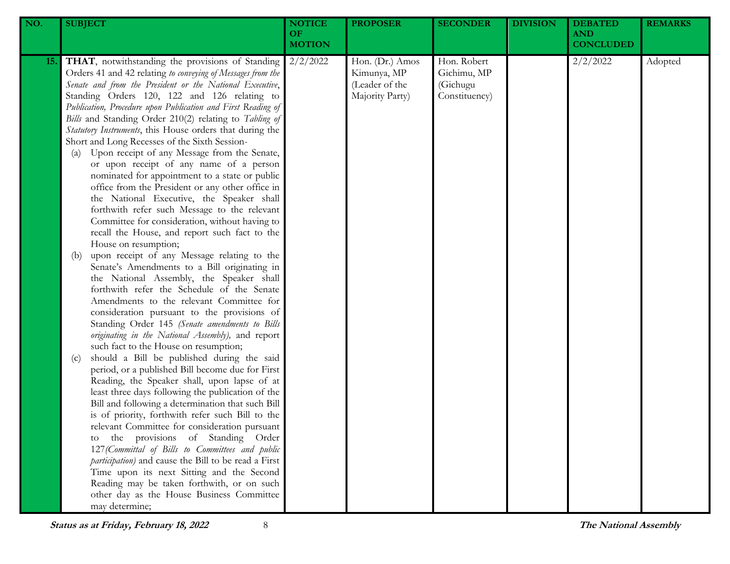| NO. | <b>SUBJECT</b>                                                                                                                                                                                                                                                                                                                                                                                                                                                                                                                                                                                                                                                                                                                                                                                                                                                                                                                                                                                                                                                                                                                                                                                                                                                                                                                                                                                                                                                                                                                                                                                                                                                                                                                                                                                                                                                                                                                                                                                                                          | <b>NOTICE</b><br><b>OF</b><br><b>MOTION</b> | <b>PROPOSER</b>                                                     | <b>SECONDER</b>                                         | <b>DIVISION</b> | <b>DEBATED</b><br><b>AND</b><br><b>CONCLUDED</b> | <b>REMARKS</b> |
|-----|-----------------------------------------------------------------------------------------------------------------------------------------------------------------------------------------------------------------------------------------------------------------------------------------------------------------------------------------------------------------------------------------------------------------------------------------------------------------------------------------------------------------------------------------------------------------------------------------------------------------------------------------------------------------------------------------------------------------------------------------------------------------------------------------------------------------------------------------------------------------------------------------------------------------------------------------------------------------------------------------------------------------------------------------------------------------------------------------------------------------------------------------------------------------------------------------------------------------------------------------------------------------------------------------------------------------------------------------------------------------------------------------------------------------------------------------------------------------------------------------------------------------------------------------------------------------------------------------------------------------------------------------------------------------------------------------------------------------------------------------------------------------------------------------------------------------------------------------------------------------------------------------------------------------------------------------------------------------------------------------------------------------------------------------|---------------------------------------------|---------------------------------------------------------------------|---------------------------------------------------------|-----------------|--------------------------------------------------|----------------|
| 15. | <b>THAT</b> , notwithstanding the provisions of Standing<br>Orders 41 and 42 relating to conveying of Messages from the<br>Senate and from the President or the National Executive,<br>Standing Orders 120, 122 and 126 relating to<br>Publication, Procedure upon Publication and First Reading of<br>Bills and Standing Order 210(2) relating to Tabling of<br>Statutory Instruments, this House orders that during the<br>Short and Long Recesses of the Sixth Session-<br>Upon receipt of any Message from the Senate,<br>(a)<br>or upon receipt of any name of a person<br>nominated for appointment to a state or public<br>office from the President or any other office in<br>the National Executive, the Speaker shall<br>forthwith refer such Message to the relevant<br>Committee for consideration, without having to<br>recall the House, and report such fact to the<br>House on resumption;<br>upon receipt of any Message relating to the<br>(b)<br>Senate's Amendments to a Bill originating in<br>the National Assembly, the Speaker shall<br>forthwith refer the Schedule of the Senate<br>Amendments to the relevant Committee for<br>consideration pursuant to the provisions of<br>Standing Order 145 (Senate amendments to Bills<br>originating in the National Assembly), and report<br>such fact to the House on resumption;<br>should a Bill be published during the said<br>(c)<br>period, or a published Bill become due for First<br>Reading, the Speaker shall, upon lapse of at<br>least three days following the publication of the<br>Bill and following a determination that such Bill<br>is of priority, forthwith refer such Bill to the<br>relevant Committee for consideration pursuant<br>the provisions of Standing Order<br>127 (Committal of Bills to Committees and public<br>participation) and cause the Bill to be read a First<br>Time upon its next Sitting and the Second<br>Reading may be taken forthwith, or on such<br>other day as the House Business Committee<br>may determine; | 2/2/2022                                    | Hon. (Dr.) Amos<br>Kimunya, MP<br>(Leader of the<br>Majority Party) | Hon. Robert<br>Gichimu, MP<br>(Gichugu<br>Constituency) |                 | 2/2/2022                                         | Adopted        |

**Status as at Friday, February 18, 2022** 8 **The National Assembly**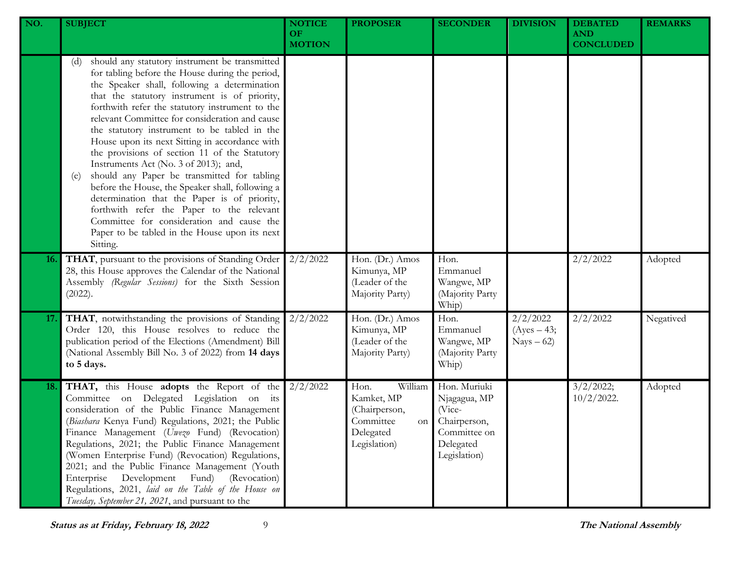| NO. | <b>SUBJECT</b>                                                                                                                                                                                                                                                                                                                                                                                                                                                                                                                                                                                                                                                                                                                                                                                                              | <b>NOTICE</b><br><b>OF</b><br><b>MOTION</b> | <b>PROPOSER</b>                                                                                | <b>SECONDER</b>                                                                                     | <b>DIVISION</b>                          | <b>DEBATED</b><br><b>AND</b><br><b>CONCLUDED</b> | <b>REMARKS</b> |
|-----|-----------------------------------------------------------------------------------------------------------------------------------------------------------------------------------------------------------------------------------------------------------------------------------------------------------------------------------------------------------------------------------------------------------------------------------------------------------------------------------------------------------------------------------------------------------------------------------------------------------------------------------------------------------------------------------------------------------------------------------------------------------------------------------------------------------------------------|---------------------------------------------|------------------------------------------------------------------------------------------------|-----------------------------------------------------------------------------------------------------|------------------------------------------|--------------------------------------------------|----------------|
|     | should any statutory instrument be transmitted<br>(d)<br>for tabling before the House during the period,<br>the Speaker shall, following a determination<br>that the statutory instrument is of priority,<br>forthwith refer the statutory instrument to the<br>relevant Committee for consideration and cause<br>the statutory instrument to be tabled in the<br>House upon its next Sitting in accordance with<br>the provisions of section 11 of the Statutory<br>Instruments Act (No. 3 of 2013); and,<br>should any Paper be transmitted for tabling<br>(e)<br>before the House, the Speaker shall, following a<br>determination that the Paper is of priority,<br>forthwith refer the Paper to the relevant<br>Committee for consideration and cause the<br>Paper to be tabled in the House upon its next<br>Sitting. |                                             |                                                                                                |                                                                                                     |                                          |                                                  |                |
| 16. | THAT, pursuant to the provisions of Standing Order<br>28, this House approves the Calendar of the National<br>Assembly (Regular Sessions) for the Sixth Session<br>(2022).                                                                                                                                                                                                                                                                                                                                                                                                                                                                                                                                                                                                                                                  | 2/2/2022                                    | Hon. (Dr.) Amos<br>Kimunya, MP<br>(Leader of the<br>Majority Party)                            | Hon.<br>Emmanuel<br>Wangwe, MP<br>(Majority Party<br>Whip)                                          |                                          | 2/2/2022                                         | Adopted        |
| 17. | THAT, notwithstanding the provisions of Standing<br>Order 120, this House resolves to reduce the<br>publication period of the Elections (Amendment) Bill<br>(National Assembly Bill No. 3 of 2022) from 14 days<br>to 5 days.                                                                                                                                                                                                                                                                                                                                                                                                                                                                                                                                                                                               | 2/2/2022                                    | Hon. (Dr.) Amos<br>Kimunya, MP<br>(Leader of the<br>Majority Party)                            | Hon.<br>Emmanuel<br>Wangwe, MP<br>(Majority Party<br>Whip)                                          | 2/2/2022<br>$(Ayes - 43;$<br>$Nays - 62$ | 2/2/2022                                         | Negatived      |
| 18. | THAT, this House adopts the Report of the<br>Committee on Delegated Legislation on its<br>consideration of the Public Finance Management<br>(Biashara Kenya Fund) Regulations, 2021; the Public<br>Finance Management (Uwezo Fund) (Revocation)<br>Regulations, 2021; the Public Finance Management<br>(Women Enterprise Fund) (Revocation) Regulations,<br>2021; and the Public Finance Management (Youth<br>Development<br>(Revocation)<br>Enterprise<br>Fund)<br>Regulations, 2021, laid on the Table of the House on<br>Tuesday, September 21, 2021, and pursuant to the                                                                                                                                                                                                                                                | 2/2/2022                                    | William<br>Hon.<br>Kamket, MP<br>(Chairperson,<br>Committee<br>on<br>Delegated<br>Legislation) | Hon. Muriuki<br>Njagagua, MP<br>(Vice-<br>Chairperson,<br>Committee on<br>Delegated<br>Legislation) |                                          | 3/2/2022;<br>$10/2/2022$ .                       | Adopted        |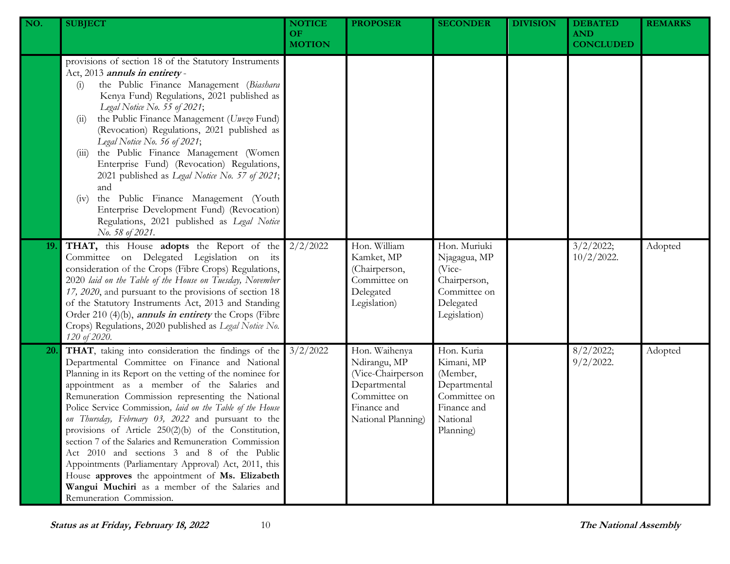| NO.       | <b>SUBJECT</b>                                                                                                                                                                                                                                                                                                                                                                                                                                                                                                                                                                                                                                                                                                                                     | <b>NOTICE</b><br><b>OF</b><br><b>MOTION</b> | <b>PROPOSER</b>                                                                                                         | <b>SECONDER</b>                                                                                              | <b>DIVISION</b> | <b>DEBATED</b><br><b>AND</b><br><b>CONCLUDED</b> | <b>REMARKS</b> |
|-----------|----------------------------------------------------------------------------------------------------------------------------------------------------------------------------------------------------------------------------------------------------------------------------------------------------------------------------------------------------------------------------------------------------------------------------------------------------------------------------------------------------------------------------------------------------------------------------------------------------------------------------------------------------------------------------------------------------------------------------------------------------|---------------------------------------------|-------------------------------------------------------------------------------------------------------------------------|--------------------------------------------------------------------------------------------------------------|-----------------|--------------------------------------------------|----------------|
|           | provisions of section 18 of the Statutory Instruments<br>Act, 2013 annuls in entirety-<br>the Public Finance Management (Biashara<br>$\left( 1 \right)$<br>Kenya Fund) Regulations, 2021 published as<br>Legal Notice No. 55 of 2021;<br>the Public Finance Management (Uwezo Fund)<br>(11)<br>(Revocation) Regulations, 2021 published as<br>Legal Notice No. 56 of 2021;<br>the Public Finance Management (Women<br>(111)<br>Enterprise Fund) (Revocation) Regulations,<br>2021 published as Legal Notice No. 57 of 2021;<br>and<br>the Public Finance Management (Youth<br>(v)<br>Enterprise Development Fund) (Revocation)<br>Regulations, 2021 published as Legal Notice<br>No. 58 of 2021.                                                   |                                             |                                                                                                                         |                                                                                                              |                 |                                                  |                |
| 19.       | <b>THAT,</b> this House <b>adopts</b> the Report of the $2/2/2022$<br>Committee on Delegated Legislation on its<br>consideration of the Crops (Fibre Crops) Regulations,<br>2020 laid on the Table of the House on Tuesday, November<br>17, 2020, and pursuant to the provisions of section 18<br>of the Statutory Instruments Act, 2013 and Standing<br>Order 210 (4)(b), <i>annuls in entirety</i> the Crops (Fibre<br>Crops) Regulations, 2020 published as Legal Notice No.<br>120 of 2020.                                                                                                                                                                                                                                                    |                                             | Hon. William<br>Kamket, MP<br>(Chairperson,<br>Committee on<br>Delegated<br>Legislation)                                | Hon. Muriuki<br>Njagagua, MP<br>(Vice-<br>Chairperson,<br>Committee on<br>Delegated<br>Legislation)          |                 | 3/2/2022;<br>$10/2/2022$ .                       | Adopted        |
| <b>20</b> | THAT, taking into consideration the findings of the<br>Departmental Committee on Finance and National<br>Planning in its Report on the vetting of the nominee for<br>appointment as a member of the Salaries and<br>Remuneration Commission representing the National<br>Police Service Commission, laid on the Table of the House<br>on Thursday, February 03, 2022 and pursuant to the<br>provisions of Article 250(2)(b) of the Constitution,<br>section 7 of the Salaries and Remuneration Commission<br>Act 2010 and sections 3 and 8 of the Public<br>Appointments (Parliamentary Approval) Act, 2011, this<br>House approves the appointment of Ms. Elizabeth<br>Wangui Muchiri as a member of the Salaries and<br>Remuneration Commission. | 3/2/2022                                    | Hon. Waihenya<br>Ndirangu, MP<br>(Vice-Chairperson<br>Departmental<br>Committee on<br>Finance and<br>National Planning) | Hon. Kuria<br>Kimani, MP<br>(Member,<br>Departmental<br>Committee on<br>Finance and<br>National<br>Planning) |                 | 8/2/2022;<br>$9/2/2022$ .                        | Adopted        |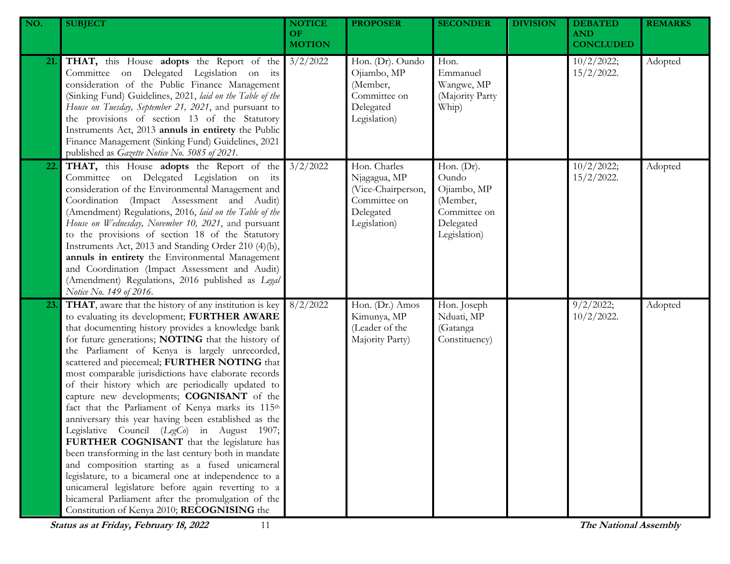| NO. | <b>SUBJECT</b>                                                                                                                                                                                                                                                                                                                                                                                                                                                                                                                                                                                                                                                                                                                                                                                                                                                                                                                                                                                                           | <b>NOTICE</b><br>OF.<br><b>MOTION</b> | <b>PROPOSER</b>                                                                                 | <b>SECONDER</b>                                                                             | <b>DIVISION</b> | <b>DEBATED</b><br><b>AND</b><br><b>CONCLUDED</b> | <b>REMARKS</b> |
|-----|--------------------------------------------------------------------------------------------------------------------------------------------------------------------------------------------------------------------------------------------------------------------------------------------------------------------------------------------------------------------------------------------------------------------------------------------------------------------------------------------------------------------------------------------------------------------------------------------------------------------------------------------------------------------------------------------------------------------------------------------------------------------------------------------------------------------------------------------------------------------------------------------------------------------------------------------------------------------------------------------------------------------------|---------------------------------------|-------------------------------------------------------------------------------------------------|---------------------------------------------------------------------------------------------|-----------------|--------------------------------------------------|----------------|
| 21. | <b>THAT,</b> this House <b>adopts</b> the Report of the $3/2/2022$<br>Committee on Delegated Legislation on its<br>consideration of the Public Finance Management<br>(Sinking Fund) Guidelines, 2021, laid on the Table of the<br>House on Tuesday, September 21, 2021, and pursuant to<br>the provisions of section 13 of the Statutory<br>Instruments Act, 2013 annuls in entirety the Public<br>Finance Management (Sinking Fund) Guidelines, 2021<br>published as Gazette Notice No. 5085 of 2021.                                                                                                                                                                                                                                                                                                                                                                                                                                                                                                                   |                                       | Hon. (Dr). Oundo<br>Ojiambo, MP<br>(Member,<br>Committee on<br>Delegated<br>Legislation)        | Hon.<br>Emmanuel<br>Wangwe, MP<br>(Majority Party<br>Whip)                                  |                 | 10/2/2022;<br>$15/2/2022$ .                      | Adopted        |
| 22. | <b>THAT,</b> this House <b>adopts</b> the Report of the 3/2/2022<br>Committee on Delegated Legislation on its<br>consideration of the Environmental Management and<br>Coordination (Impact Assessment and Audit)<br>(Amendment) Regulations, 2016, laid on the Table of the<br>House on Wednesday, November 10, 2021, and pursuant<br>to the provisions of section 18 of the Statutory<br>Instruments Act, 2013 and Standing Order 210 (4)(b),<br>annuls in entirety the Environmental Management<br>and Coordination (Impact Assessment and Audit)<br>(Amendment) Regulations, 2016 published as Legal<br>Notice No. 149 of 2016.                                                                                                                                                                                                                                                                                                                                                                                       |                                       | Hon. Charles<br>Njagagua, MP<br>(Vice-Chairperson,<br>Committee on<br>Delegated<br>Legislation) | Hon. (Dr).<br>Oundo<br>Ojiambo, MP<br>(Member,<br>Committee on<br>Delegated<br>Legislation) |                 | 10/2/2022;<br>$15/2/2022$ .                      | Adopted        |
| 23. | THAT, aware that the history of any institution is key<br>to evaluating its development; FURTHER AWARE<br>that documenting history provides a knowledge bank<br>for future generations; NOTING that the history of<br>the Parliament of Kenya is largely unrecorded,<br>scattered and piecemeal; FURTHER NOTING that<br>most comparable jurisdictions have elaborate records<br>of their history which are periodically updated to<br>capture new developments; COGNISANT of the<br>fact that the Parliament of Kenya marks its 115th<br>anniversary this year having been established as the<br>Legislative Council (LegCo) in August 1907;<br>FURTHER COGNISANT that the legislature has<br>been transforming in the last century both in mandate<br>and composition starting as a fused unicameral<br>legislature, to a bicameral one at independence to a<br>unicameral legislature before again reverting to a<br>bicameral Parliament after the promulgation of the<br>Constitution of Kenya 2010; RECOGNISING the | 8/2/2022                              | Hon. (Dr.) Amos<br>Kimunya, MP<br>(Leader of the<br>Majority Party)                             | Hon. Joseph<br>Nduati, MP<br>(Gatanga<br>Constituency)                                      |                 | 9/2/2022;<br>$10/2/2022$ .                       | Adopted        |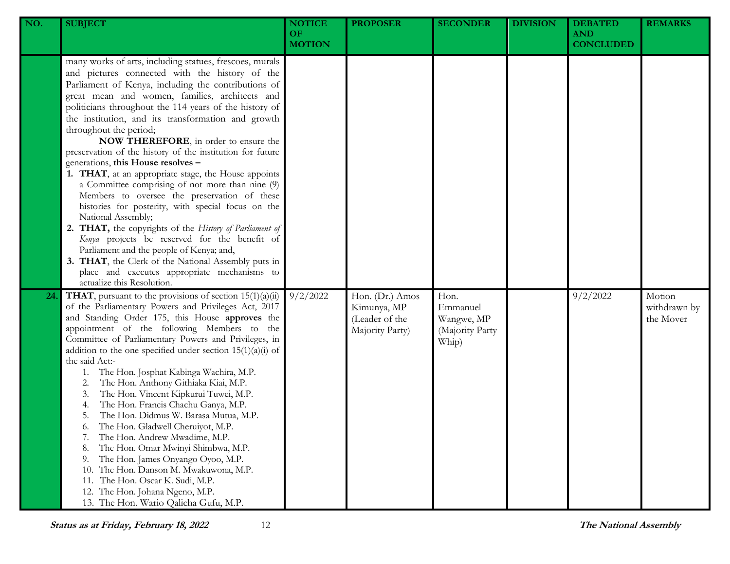| NO. | <b>SUBJECT</b>                                                                                                                                                                                                                                                                                                                                                                                                                                                                                                                                                                                                                                                                                                                                                                                                                                                                                                                                                                                                                                | <b>NOTICE</b><br>OF.<br><b>MOTION</b> | <b>PROPOSER</b>                                                     | <b>SECONDER</b>                                            | <b>DIVISION</b> | <b>DEBATED</b><br><b>AND</b><br><b>CONCLUDED</b> | <b>REMARKS</b>                      |
|-----|-----------------------------------------------------------------------------------------------------------------------------------------------------------------------------------------------------------------------------------------------------------------------------------------------------------------------------------------------------------------------------------------------------------------------------------------------------------------------------------------------------------------------------------------------------------------------------------------------------------------------------------------------------------------------------------------------------------------------------------------------------------------------------------------------------------------------------------------------------------------------------------------------------------------------------------------------------------------------------------------------------------------------------------------------|---------------------------------------|---------------------------------------------------------------------|------------------------------------------------------------|-----------------|--------------------------------------------------|-------------------------------------|
|     | many works of arts, including statues, frescoes, murals<br>and pictures connected with the history of the<br>Parliament of Kenya, including the contributions of<br>great mean and women, families, architects and<br>politicians throughout the 114 years of the history of<br>the institution, and its transformation and growth<br>throughout the period;<br>NOW THEREFORE, in order to ensure the<br>preservation of the history of the institution for future<br>generations, this House resolves -<br>1. THAT, at an appropriate stage, the House appoints<br>a Committee comprising of not more than nine (9)<br>Members to oversee the preservation of these<br>histories for posterity, with special focus on the<br>National Assembly;<br>2. THAT, the copyrights of the History of Parliament of<br>Kenya projects be reserved for the benefit of<br>Parliament and the people of Kenya; and,<br>3. THAT, the Clerk of the National Assembly puts in<br>place and executes appropriate mechanisms to<br>actualize this Resolution. |                                       |                                                                     |                                                            |                 |                                                  |                                     |
| 24  | <b>THAT</b> , pursuant to the provisions of section $15(1)(a)(ii)$<br>of the Parliamentary Powers and Privileges Act, 2017<br>and Standing Order 175, this House approves the<br>appointment of the following Members to the<br>Committee of Parliamentary Powers and Privileges, in<br>addition to the one specified under section $15(1)(a)(i)$ of<br>the said Act:-<br>The Hon. Josphat Kabinga Wachira, M.P.<br>1.<br>The Hon. Anthony Githiaka Kiai, M.P.<br>2.<br>The Hon. Vincent Kipkurui Tuwei, M.P.<br>3.<br>The Hon. Francis Chachu Ganya, M.P.<br>4.<br>The Hon. Didmus W. Barasa Mutua, M.P.<br>5.<br>The Hon. Gladwell Cheruiyot, M.P.<br>6.<br>The Hon. Andrew Mwadime, M.P.<br>7.<br>The Hon. Omar Mwinyi Shimbwa, M.P.<br>8.<br>The Hon. James Onyango Oyoo, M.P.<br>9.<br>The Hon. Danson M. Mwakuwona, M.P.<br>10.<br>The Hon. Oscar K. Sudi, M.P.<br>11.<br>12. The Hon. Johana Ngeno, M.P.<br>13. The Hon. Wario Qalicha Gufu, M.P.                                                                                      | 9/2/2022                              | Hon. (Dr.) Amos<br>Kimunya, MP<br>(Leader of the<br>Majority Party) | Hon.<br>Emmanuel<br>Wangwe, MP<br>(Majority Party<br>Whip) |                 | 9/2/2022                                         | Motion<br>withdrawn by<br>the Mover |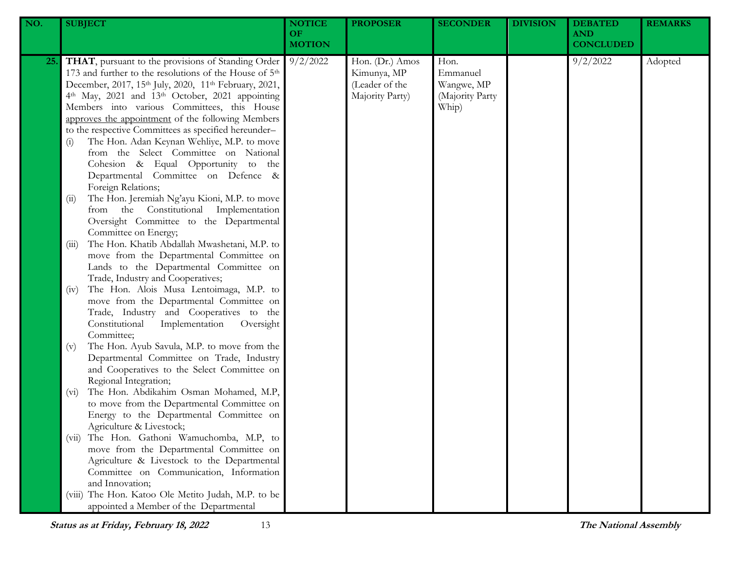| NO.        | <b>SUBJECT</b>                                                                                                                                                                                                                                                                                                                                                                                                                                                                                                                                                                                                                                                                                                                                                                                                                                                                            | <b>NOTICE</b><br><b>OF</b><br><b>MOTION</b> | <b>PROPOSER</b>                                                     | <b>SECONDER</b>                                            | <b>DIVISION</b> | <b>DEBATED</b><br><b>AND</b><br><b>CONCLUDED</b> | <b>REMARKS</b> |
|------------|-------------------------------------------------------------------------------------------------------------------------------------------------------------------------------------------------------------------------------------------------------------------------------------------------------------------------------------------------------------------------------------------------------------------------------------------------------------------------------------------------------------------------------------------------------------------------------------------------------------------------------------------------------------------------------------------------------------------------------------------------------------------------------------------------------------------------------------------------------------------------------------------|---------------------------------------------|---------------------------------------------------------------------|------------------------------------------------------------|-----------------|--------------------------------------------------|----------------|
| <b>25.</b> | THAT, pursuant to the provisions of Standing Order<br>173 and further to the resolutions of the House of 5 <sup>th</sup><br>December, 2017, 15th July, 2020, 11th February, 2021,<br>4th May, 2021 and 13th October, 2021 appointing<br>Members into various Committees, this House<br>approves the appointment of the following Members<br>to the respective Committees as specified hereunder-<br>The Hon. Adan Keynan Wehliye, M.P. to move<br>$\left( i\right)$<br>from the Select Committee on National<br>Cohesion & Equal Opportunity to the<br>Departmental Committee on Defence &<br>Foreign Relations;<br>The Hon. Jeremiah Ng'ayu Kioni, M.P. to move<br>(ii)<br>from the Constitutional Implementation<br>Oversight Committee to the Departmental<br>Committee on Energy;<br>The Hon. Khatib Abdallah Mwashetani, M.P. to<br>(iii)<br>move from the Departmental Committee on | 9/2/2022                                    | Hon. (Dr.) Amos<br>Kimunya, MP<br>(Leader of the<br>Majority Party) | Hon.<br>Emmanuel<br>Wangwe, MP<br>(Majority Party<br>Whip) |                 | 9/2/2022                                         | Adopted        |
|            | Lands to the Departmental Committee on<br>Trade, Industry and Cooperatives;<br>The Hon. Alois Musa Lentoimaga, M.P. to<br>(iv)<br>move from the Departmental Committee on<br>Trade, Industry and Cooperatives to the<br>Constitutional<br>Implementation<br>Oversight<br>Committee;<br>The Hon. Ayub Savula, M.P. to move from the<br>(v)<br>Departmental Committee on Trade, Industry<br>and Cooperatives to the Select Committee on                                                                                                                                                                                                                                                                                                                                                                                                                                                     |                                             |                                                                     |                                                            |                 |                                                  |                |
|            | Regional Integration;<br>The Hon. Abdikahim Osman Mohamed, M.P,<br>$(v_i)$<br>to move from the Departmental Committee on<br>Energy to the Departmental Committee on<br>Agriculture & Livestock;                                                                                                                                                                                                                                                                                                                                                                                                                                                                                                                                                                                                                                                                                           |                                             |                                                                     |                                                            |                 |                                                  |                |
|            | The Hon. Gathoni Wamuchomba, M.P, to<br>(V11)<br>move from the Departmental Committee on<br>Agriculture & Livestock to the Departmental<br>Committee on Communication, Information<br>and Innovation;<br>The Hon. Katoo Ole Metito Judah, M.P. to be<br>(V111)<br>appointed a Member of the Departmental                                                                                                                                                                                                                                                                                                                                                                                                                                                                                                                                                                                  |                                             |                                                                     |                                                            |                 |                                                  |                |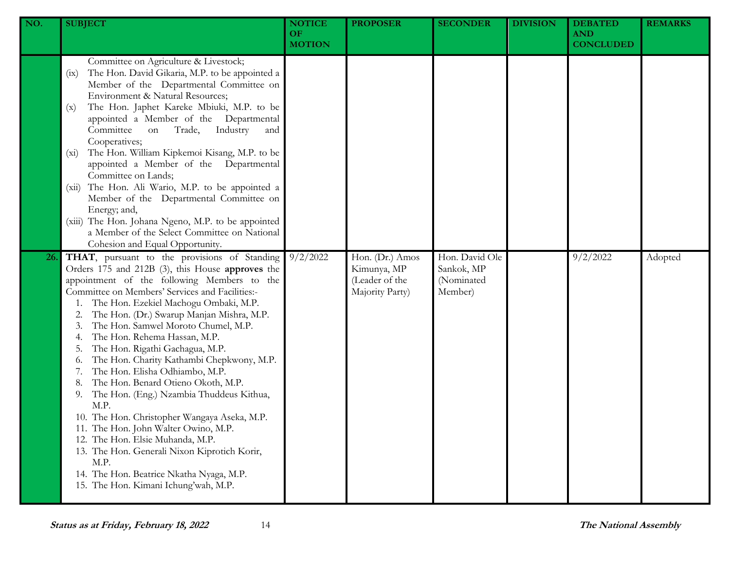| NO. | <b>SUBJECT</b>                                                                                                                                                                                                                                                                                                                                                                                                                                                                                                                                                                                                                                                                                                                                                                                                                                                  | <b>NOTICE</b><br><b>OF</b><br><b>MOTION</b> | <b>PROPOSER</b>                                                     | <b>SECONDER</b>                                       | <b>DIVISION</b> | <b>DEBATED</b><br><b>AND</b><br><b>CONCLUDED</b> | <b>REMARKS</b> |
|-----|-----------------------------------------------------------------------------------------------------------------------------------------------------------------------------------------------------------------------------------------------------------------------------------------------------------------------------------------------------------------------------------------------------------------------------------------------------------------------------------------------------------------------------------------------------------------------------------------------------------------------------------------------------------------------------------------------------------------------------------------------------------------------------------------------------------------------------------------------------------------|---------------------------------------------|---------------------------------------------------------------------|-------------------------------------------------------|-----------------|--------------------------------------------------|----------------|
|     | Committee on Agriculture & Livestock;<br>The Hon. David Gikaria, M.P. to be appointed a<br>(ix)<br>Member of the Departmental Committee on<br>Environment & Natural Resources;<br>The Hon. Japhet Kareke Mbiuki, M.P. to be<br>(x)<br>appointed a Member of the Departmental<br>Committee<br>Industry<br>Trade,<br>on<br>and<br>Cooperatives;<br>The Hon. William Kipkemoi Kisang, M.P. to be<br>$(x_i)$<br>appointed a Member of the Departmental<br>Committee on Lands;<br>The Hon. Ali Wario, M.P. to be appointed a<br>(xii)<br>Member of the Departmental Committee on<br>Energy; and,<br>(xiii) The Hon. Johana Ngeno, M.P. to be appointed<br>a Member of the Select Committee on National<br>Cohesion and Equal Opportunity.                                                                                                                            |                                             |                                                                     |                                                       |                 |                                                  |                |
| 26. | THAT, pursuant to the provisions of Standing<br>Orders 175 and 212B (3), this House approves the<br>appointment of the following Members to the<br>Committee on Members' Services and Facilities:-<br>The Hon. Ezekiel Machogu Ombaki, M.P.<br>The Hon. (Dr.) Swarup Manjan Mishra, M.P.<br>The Hon. Samwel Moroto Chumel, M.P.<br>The Hon. Rehema Hassan, M.P.<br>The Hon. Rigathi Gachagua, M.P.<br>The Hon. Charity Kathambi Chepkwony, M.P.<br>0.<br>The Hon. Elisha Odhiambo, M.P.<br>The Hon. Benard Otieno Okoth, M.P.<br>The Hon. (Eng.) Nzambia Thuddeus Kithua,<br>9.<br>M.P.<br>10. The Hon. Christopher Wangaya Aseka, M.P.<br>11. The Hon. John Walter Owino, M.P.<br>12. The Hon. Elsie Muhanda, M.P.<br>13. The Hon. Generali Nixon Kiprotich Korir,<br>M.P.<br>14. The Hon. Beatrice Nkatha Nyaga, M.P.<br>15. The Hon. Kimani Ichung'wah, M.P. | 9/2/2022                                    | Hon. (Dr.) Amos<br>Kimunya, MP<br>(Leader of the<br>Majority Party) | Hon. David Ole<br>Sankok, MP<br>(Nominated<br>Member) |                 | 9/2/2022                                         | Adopted        |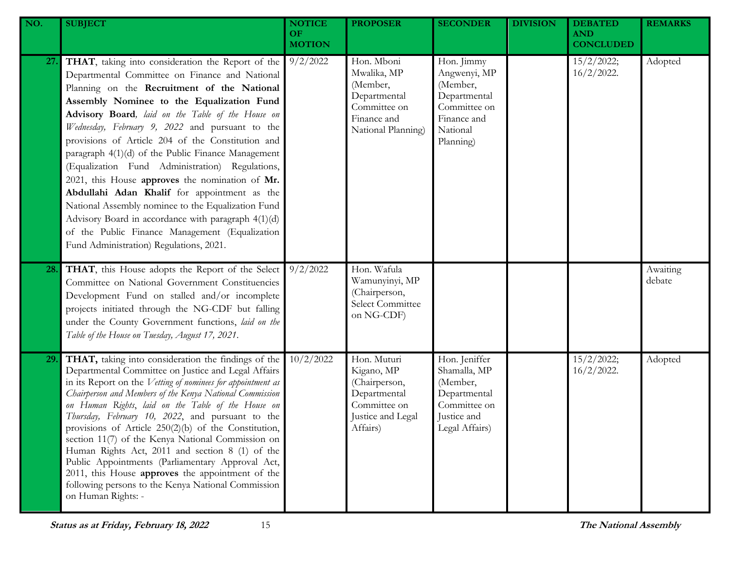| NO. | <b>SUBJECT</b>                                                                                                                                                                                                                                                                                                                                                                                                                                                                                                                                                                                                                                                                                                                                                                     | <b>NOTICE</b><br>OF.<br><b>MOTION</b> | <b>PROPOSER</b>                                                                                             | <b>SECONDER</b>                                                                                                | <b>DIVISION</b> | <b>DEBATED</b><br><b>AND</b><br><b>CONCLUDED</b> | <b>REMARKS</b>     |
|-----|------------------------------------------------------------------------------------------------------------------------------------------------------------------------------------------------------------------------------------------------------------------------------------------------------------------------------------------------------------------------------------------------------------------------------------------------------------------------------------------------------------------------------------------------------------------------------------------------------------------------------------------------------------------------------------------------------------------------------------------------------------------------------------|---------------------------------------|-------------------------------------------------------------------------------------------------------------|----------------------------------------------------------------------------------------------------------------|-----------------|--------------------------------------------------|--------------------|
| 27. | THAT, taking into consideration the Report of the<br>Departmental Committee on Finance and National<br>Planning on the Recruitment of the National<br>Assembly Nominee to the Equalization Fund<br>Advisory Board, laid on the Table of the House on<br>Wednesday, February 9, 2022 and pursuant to the<br>provisions of Article 204 of the Constitution and<br>paragraph 4(1)(d) of the Public Finance Management<br>(Equalization Fund Administration) Regulations,<br>2021, this House approves the nomination of Mr.<br>Abdullahi Adan Khalif for appointment as the<br>National Assembly nominee to the Equalization Fund<br>Advisory Board in accordance with paragraph 4(1)(d)<br>of the Public Finance Management (Equalization<br>Fund Administration) Regulations, 2021. | 9/2/2022                              | Hon. Mboni<br>Mwalika, MP<br>(Member,<br>Departmental<br>Committee on<br>Finance and<br>National Planning)  | Hon. Jimmy<br>Angwenyi, MP<br>(Member,<br>Departmental<br>Committee on<br>Finance and<br>National<br>Planning) |                 | 15/2/2022;<br>$16/2/2022$ .                      | Adopted            |
| 28. | THAT, this House adopts the Report of the Select<br>Committee on National Government Constituencies<br>Development Fund on stalled and/or incomplete<br>projects initiated through the NG-CDF but falling<br>under the County Government functions, laid on the<br>Table of the House on Tuesday, August 17, 2021.                                                                                                                                                                                                                                                                                                                                                                                                                                                                 | 9/2/2022                              | Hon. Wafula<br>Wamunyinyi, MP<br>(Chairperson,<br>Select Committee<br>on NG-CDF)                            |                                                                                                                |                 |                                                  | Awaiting<br>debate |
| 29. | THAT, taking into consideration the findings of the<br>Departmental Committee on Justice and Legal Affairs<br>in its Report on the Vetting of nominees for appointment as<br>Chairperson and Members of the Kenya National Commission<br>on Human Rights, laid on the Table of the House on<br>Thursday, February 10, 2022, and pursuant to the<br>provisions of Article $250(2)(b)$ of the Constitution,<br>section 11(7) of the Kenya National Commission on<br>Human Rights Act, 2011 and section 8 (1) of the<br>Public Appointments (Parliamentary Approval Act,<br>2011, this House approves the appointment of the<br>following persons to the Kenya National Commission<br>on Human Rights: -                                                                              | 10/2/2022                             | Hon. Muturi<br>Kigano, MP<br>(Chairperson,<br>Departmental<br>Committee on<br>Justice and Legal<br>Affairs) | Hon. Jeniffer<br>Shamalla, MP<br>(Member,<br>Departmental<br>Committee on<br>Justice and<br>Legal Affairs)     |                 | 15/2/2022;<br>$16/2/2022$ .                      | Adopted            |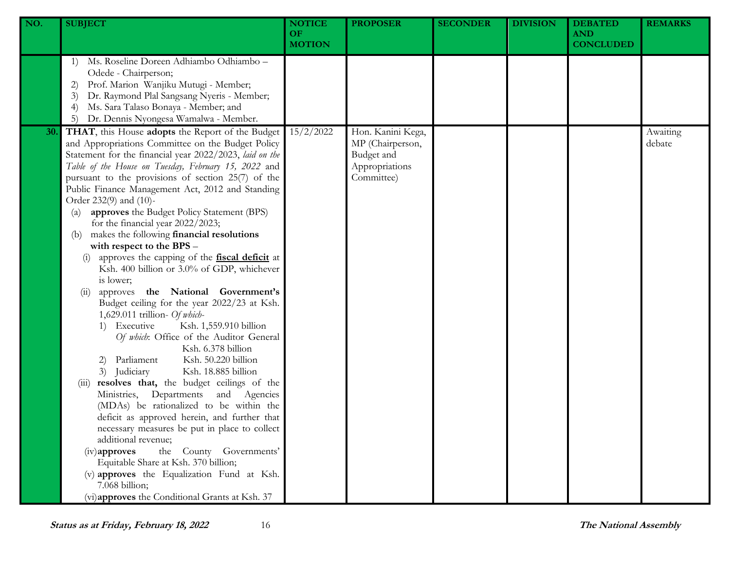| NO. | <b>SUBJECT</b>                                                                                                                                                                                                                                                                                                                                                                                                                                                                                                                                                                                                                                                                                                                                                                                                                                                                                                                                                                                                                                                                                                                                                                                                                                                                                                                                                                                                                                                               | <b>NOTICE</b><br>OF.<br><b>MOTION</b> | <b>PROPOSER</b>                                                                     | <b>SECONDER</b> | <b>DIVISION</b> | <b>DEBATED</b><br><b>AND</b><br><b>CONCLUDED</b> | <b>REMARKS</b>     |
|-----|------------------------------------------------------------------------------------------------------------------------------------------------------------------------------------------------------------------------------------------------------------------------------------------------------------------------------------------------------------------------------------------------------------------------------------------------------------------------------------------------------------------------------------------------------------------------------------------------------------------------------------------------------------------------------------------------------------------------------------------------------------------------------------------------------------------------------------------------------------------------------------------------------------------------------------------------------------------------------------------------------------------------------------------------------------------------------------------------------------------------------------------------------------------------------------------------------------------------------------------------------------------------------------------------------------------------------------------------------------------------------------------------------------------------------------------------------------------------------|---------------------------------------|-------------------------------------------------------------------------------------|-----------------|-----------------|--------------------------------------------------|--------------------|
|     | Ms. Roseline Doreen Adhiambo Odhiambo -<br>1)<br>Odede - Chairperson;<br>Prof. Marion Wanjiku Mutugi - Member;<br>2)<br>Dr. Raymond Plal Sangsang Nyeris - Member;<br>3)<br>Ms. Sara Talaso Bonaya - Member; and<br>Dr. Dennis Nyongesa Wamalwa - Member.<br>5)                                                                                                                                                                                                                                                                                                                                                                                                                                                                                                                                                                                                                                                                                                                                                                                                                                                                                                                                                                                                                                                                                                                                                                                                              |                                       |                                                                                     |                 |                 |                                                  |                    |
| 30. | THAT, this House adopts the Report of the Budget<br>and Appropriations Committee on the Budget Policy<br>Statement for the financial year 2022/2023, laid on the<br>Table of the House on Tuesday, February 15, 2022 and<br>pursuant to the provisions of section 25(7) of the<br>Public Finance Management Act, 2012 and Standing<br>Order 232(9) and (10)-<br>approves the Budget Policy Statement (BPS)<br>$\left( a\right)$<br>for the financial year 2022/2023;<br>makes the following financial resolutions<br>(b)<br>with respect to the BPS -<br>approves the capping of the <b>fiscal deficit</b> at<br>Ksh. 400 billion or 3.0% of GDP, whichever<br>is lower;<br>approves the National Government's<br>(11)<br>Budget ceiling for the year 2022/23 at Ksh.<br>1,629.011 trillion- Of which-<br>1) Executive<br>Ksh. 1,559.910 billion<br>Of which: Office of the Auditor General<br>Ksh. 6.378 billion<br>Parliament<br>Ksh. 50.220 billion<br>2)<br>3) Judiciary<br>Ksh. 18.885 billion<br>resolves that, the budget ceilings of the<br>(iii)<br>Ministries, Departments and Agencies<br>(MDAs) be rationalized to be within the<br>deficit as approved herein, and further that<br>necessary measures be put in place to collect<br>additional revenue;<br>the County Governments'<br>$(iv)$ approves<br>Equitable Share at Ksh. 370 billion;<br>(v) approves the Equalization Fund at Ksh.<br>7.068 billion;<br>(vi)approves the Conditional Grants at Ksh. 37 | 15/2/2022                             | Hon. Kanini Kega,<br>MP (Chairperson,<br>Budget and<br>Appropriations<br>Committee) |                 |                 |                                                  | Awaiting<br>debate |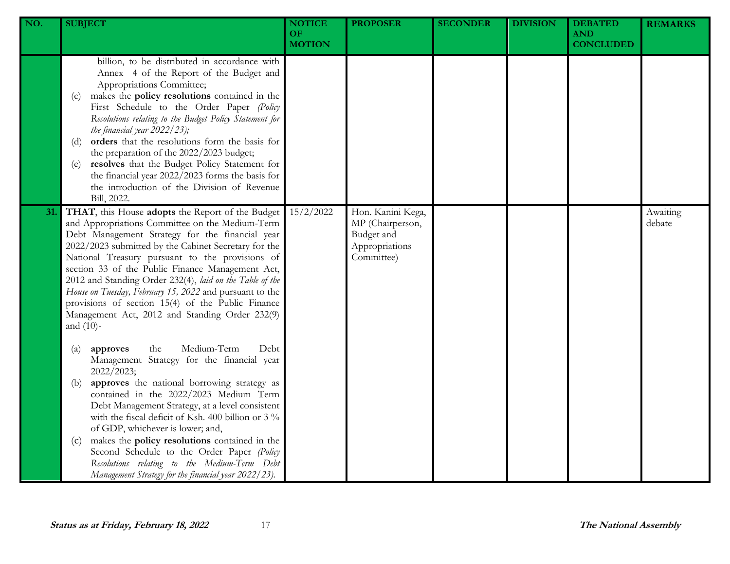| NO. | <b>SUBJECT</b>                                                                                                                                                                                                                                                                                                                                                                                                                                                                                                                                                                                                       | <b>NOTICE</b><br><b>OF</b><br><b>MOTION</b> | <b>PROPOSER</b>                                                                     | <b>SECONDER</b> | <b>DIVISION</b> | <b>DEBATED</b><br><b>AND</b><br><b>CONCLUDED</b> | <b>REMARKS</b>     |
|-----|----------------------------------------------------------------------------------------------------------------------------------------------------------------------------------------------------------------------------------------------------------------------------------------------------------------------------------------------------------------------------------------------------------------------------------------------------------------------------------------------------------------------------------------------------------------------------------------------------------------------|---------------------------------------------|-------------------------------------------------------------------------------------|-----------------|-----------------|--------------------------------------------------|--------------------|
|     | billion, to be distributed in accordance with<br>Annex 4 of the Report of the Budget and<br>Appropriations Committee;<br>makes the policy resolutions contained in the<br>$\left( c\right)$<br>First Schedule to the Order Paper (Policy<br>Resolutions relating to the Budget Policy Statement for<br>the financial year $2022/23$ ;<br>orders that the resolutions form the basis for<br>(d)<br>the preparation of the 2022/2023 budget;<br>resolves that the Budget Policy Statement for<br>(e)<br>the financial year 2022/2023 forms the basis for<br>the introduction of the Division of Revenue<br>Bill, 2022. |                                             |                                                                                     |                 |                 |                                                  |                    |
| 31. | THAT, this House adopts the Report of the Budget<br>and Appropriations Committee on the Medium-Term<br>Debt Management Strategy for the financial year<br>2022/2023 submitted by the Cabinet Secretary for the<br>National Treasury pursuant to the provisions of<br>section 33 of the Public Finance Management Act,<br>2012 and Standing Order 232(4), laid on the Table of the<br>House on Tuesday, February 15, 2022 and pursuant to the<br>provisions of section 15(4) of the Public Finance<br>Management Act, 2012 and Standing Order 232(9)<br>and $(10)$ -                                                  | 15/2/2022                                   | Hon. Kanini Kega,<br>MP (Chairperson,<br>Budget and<br>Appropriations<br>Committee) |                 |                 |                                                  | Awaiting<br>debate |
|     | Medium-Term<br>Debt<br>the<br>approves<br>$\left( a\right)$<br>Management Strategy for the financial year<br>2022/2023;<br>approves the national borrowing strategy as<br>(b)<br>contained in the 2022/2023 Medium Term<br>Debt Management Strategy, at a level consistent<br>with the fiscal deficit of Ksh. 400 billion or 3 $\%$<br>of GDP, whichever is lower; and,<br>makes the policy resolutions contained in the<br>(c)<br>Second Schedule to the Order Paper (Policy<br>Resolutions relating to the Medium-Term Debt<br>Management Strategy for the financial year 2022/23).                                |                                             |                                                                                     |                 |                 |                                                  |                    |